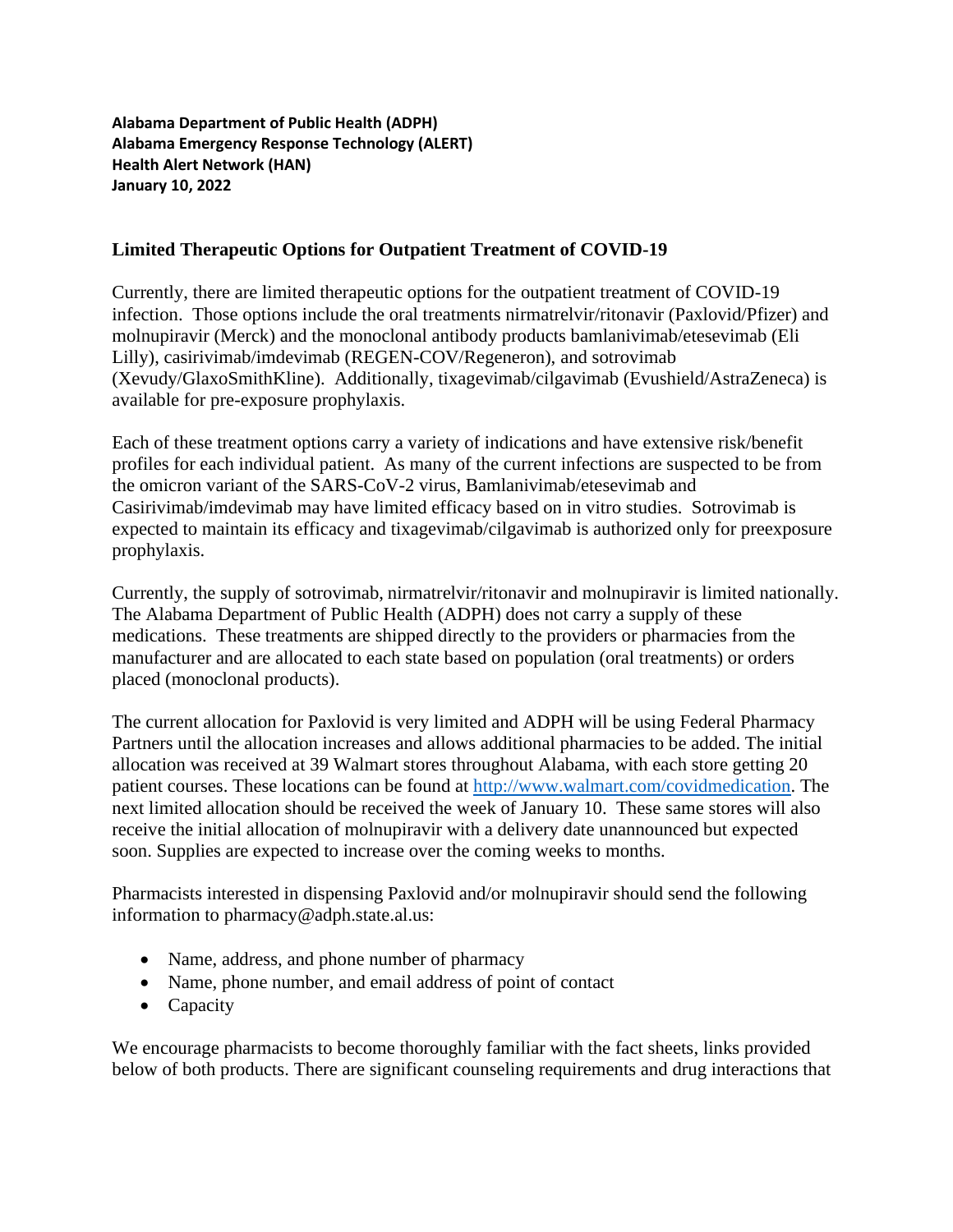**Alabama Department of Public Health (ADPH) Alabama Emergency Response Technology (ALERT) Health Alert Network (HAN) January 10, 2022**

## **Limited Therapeutic Options for Outpatient Treatment of COVID-19**

Currently, there are limited therapeutic options for the outpatient treatment of COVID-19 infection. Those options include the oral treatments nirmatrelvir/ritonavir (Paxlovid/Pfizer) and molnupiravir (Merck) and the monoclonal antibody products bamlanivimab/etesevimab (Eli Lilly), casirivimab/imdevimab (REGEN-COV/Regeneron), and sotrovimab (Xevudy/GlaxoSmithKline). Additionally, tixagevimab/cilgavimab (Evushield/AstraZeneca) is available for pre-exposure prophylaxis.

Each of these treatment options carry a variety of indications and have extensive risk/benefit profiles for each individual patient. As many of the current infections are suspected to be from the omicron variant of the SARS-CoV-2 virus, Bamlanivimab/etesevimab and Casirivimab/imdevimab may have limited efficacy based on in vitro studies. Sotrovimab is expected to maintain its efficacy and tixagevimab/cilgavimab is authorized only for preexposure prophylaxis.

Currently, the supply of sotrovimab, nirmatrelvir/ritonavir and molnupiravir is limited nationally. The Alabama Department of Public Health (ADPH) does not carry a supply of these medications. These treatments are shipped directly to the providers or pharmacies from the manufacturer and are allocated to each state based on population (oral treatments) or orders placed (monoclonal products).

The current allocation for Paxlovid is very limited and ADPH will be using Federal Pharmacy Partners until the allocation increases and allows additional pharmacies to be added. The initial allocation was received at 39 Walmart stores throughout Alabama, with each store getting 20 patient courses. These locations can be found at [http://www.walmart.com/covidmedication.](http://www.walmart.com/covidmedication) The next limited allocation should be received the week of January 10. These same stores will also receive the initial allocation of molnupiravir with a delivery date unannounced but expected soon. Supplies are expected to increase over the coming weeks to months.

Pharmacists interested in dispensing Paxlovid and/or molnupiravir should send the following information to pharmacy@adph.state.al.us:

- Name, address, and phone number of pharmacy
- Name, phone number, and email address of point of contact
- Capacity

We encourage pharmacists to become thoroughly familiar with the fact sheets, links provided below of both products. There are significant counseling requirements and drug interactions that